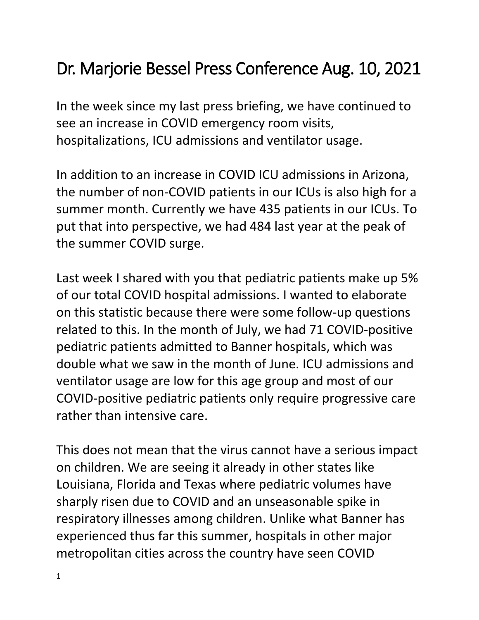## Dr. Marjorie Bessel Press Conference Aug. 10, 2021

In the week since my last press briefing, we have continued to see an increase in COVID emergency room visits, hospitalizations, ICU admissions and ventilator usage.

In addition to an increase in COVID ICU admissions in Arizona, the number of non-COVID patients in our ICUs is also high for a summer month. Currently we have 435 patients in our ICUs. To put that into perspective, we had 484 last year at the peak of the summer COVID surge.

Last week I shared with you that pediatric patients make up 5% of our total COVID hospital admissions. I wanted to elaborate on this statistic because there were some follow-up questions related to this. In the month of July, we had 71 COVID-positive pediatric patients admitted to Banner hospitals, which was double what we saw in the month of June. ICU admissions and ventilator usage are low for this age group and most of our COVID-positive pediatric patients only require progressive care rather than intensive care.

This does not mean that the virus cannot have a serious impact on children. We are seeing it already in other states like Louisiana, Florida and Texas where pediatric volumes have sharply risen due to COVID and an unseasonable spike in respiratory illnesses among children. Unlike what Banner has experienced thus far this summer, hospitals in other major metropolitan cities across the country have seen COVID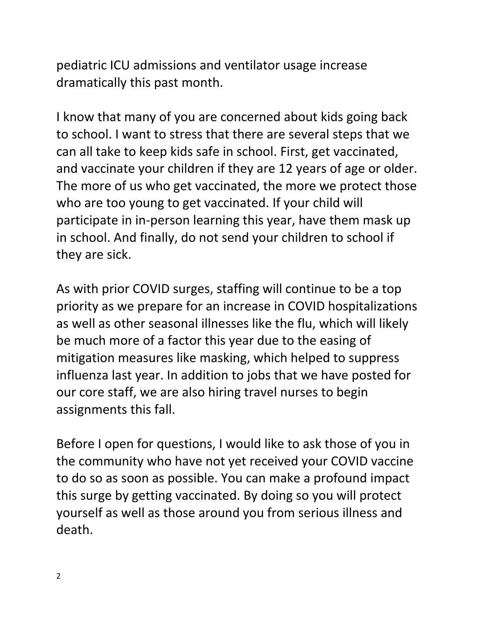pediatric ICU admissions and ventilator usage increase dramatically this past month.

I know that many of you are concerned about kids going back to school. I want to stress that there are several steps that we can all take to keep kids safe in school. First, get vaccinated, and vaccinate your children if they are 12 years of age or older. The more of us who get vaccinated, the more we protect those who are too young to get vaccinated. If your child will participate in in-person learning this year, have them mask up in school. And finally, do not send your children to school if they are sick.

As with prior COVID surges, staffing will continue to be a top priority as we prepare for an increase in COVID hospitalizations as well as other seasonal illnesses like the flu, which will likely be much more of a factor this year due to the easing of mitigation measures like masking, which helped to suppress influenza last year. In addition to jobs that we have posted for our core staff, we are also hiring travel nurses to begin assignments this fall.

Before I open for questions, I would like to ask those of you in the community who have not yet received your COVID vaccine to do so as soon as possible. You can make a profound impact this surge by getting vaccinated. By doing so you will protect yourself as well as those around you from serious illness and death.